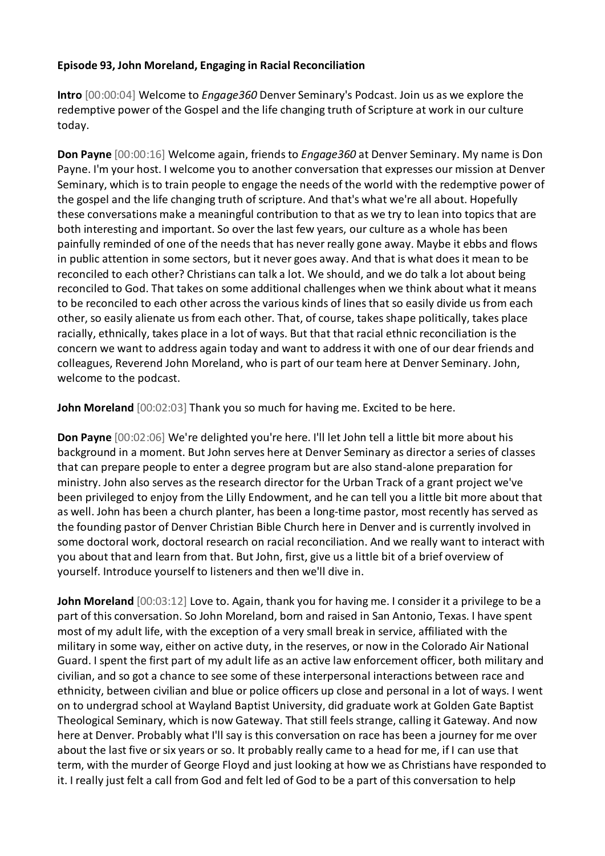## **Episode 93, John Moreland, Engaging in Racial Reconciliation**

**Intro** [00:00:04] Welcome to *Engage360* Denver Seminary's Podcast. Join us as we explore the redemptive power of the Gospel and the life changing truth of Scripture at work in our culture today.

**Don Payne** [00:00:16] Welcome again, friends to *Engage360* at Denver Seminary. My name is Don Payne. I'm your host. I welcome you to another conversation that expresses our mission at Denver Seminary, which is to train people to engage the needs of the world with the redemptive power of the gospel and the life changing truth of scripture. And that's what we're all about. Hopefully these conversations make a meaningful contribution to that as we try to lean into topics that are both interesting and important. So over the last few years, our culture as a whole has been painfully reminded of one of the needs that has never really gone away. Maybe it ebbs and flows in public attention in some sectors, but it never goes away. And that is what does it mean to be reconciled to each other? Christians can talk a lot. We should, and we do talk a lot about being reconciled to God. That takes on some additional challenges when we think about what it means to be reconciled to each other across the various kinds of lines that so easily divide us from each other, so easily alienate us from each other. That, of course, takes shape politically, takes place racially, ethnically, takes place in a lot of ways. But that that racial ethnic reconciliation is the concern we want to address again today and want to address it with one of our dear friends and colleagues, Reverend John Moreland, who is part of our team here at Denver Seminary. John, welcome to the podcast.

**John Moreland** [00:02:03] Thank you so much for having me. Excited to be here.

**Don Payne** [00:02:06] We're delighted you're here. I'll let John tell a little bit more about his background in a moment. But John serves here at Denver Seminary as director a series of classes that can prepare people to enter a degree program but are also stand-alone preparation for ministry. John also serves as the research director for the Urban Track of a grant project we've been privileged to enjoy from the Lilly Endowment, and he can tell you a little bit more about that as well. John has been a church planter, has been a long-time pastor, most recently has served as the founding pastor of Denver Christian Bible Church here in Denver and is currently involved in some doctoral work, doctoral research on racial reconciliation. And we really want to interact with you about that and learn from that. But John, first, give us a little bit of a brief overview of yourself. Introduce yourself to listeners and then we'll dive in.

**John Moreland** [00:03:12] Love to. Again, thank you for having me. I consider it a privilege to be a part of this conversation. So John Moreland, born and raised in San Antonio, Texas. I have spent most of my adult life, with the exception of a very small break in service, affiliated with the military in some way, either on active duty, in the reserves, or now in the Colorado Air National Guard. I spent the first part of my adult life as an active law enforcement officer, both military and civilian, and so got a chance to see some of these interpersonal interactions between race and ethnicity, between civilian and blue or police officers up close and personal in a lot of ways. I went on to undergrad school at Wayland Baptist University, did graduate work at Golden Gate Baptist Theological Seminary, which is now Gateway. That still feels strange, calling it Gateway. And now here at Denver. Probably what I'll say is this conversation on race has been a journey for me over about the last five or six years or so. It probably really came to a head for me, if I can use that term, with the murder of George Floyd and just looking at how we as Christians have responded to it. I really just felt a call from God and felt led of God to be a part of this conversation to help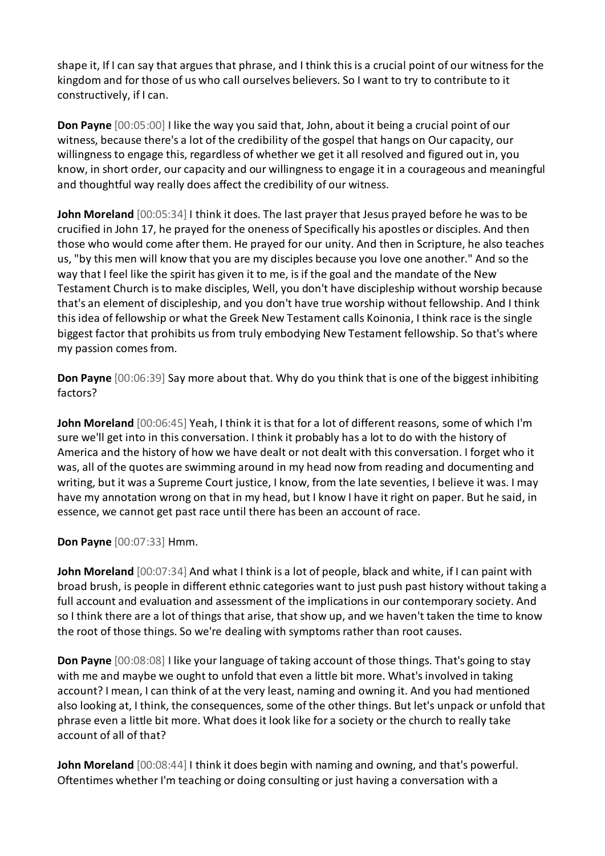shape it, If I can say that argues that phrase, and I think this is a crucial point of our witness for the kingdom and for those of us who call ourselves believers. So I want to try to contribute to it constructively, if I can.

**Don Payne** [00:05:00] I like the way you said that, John, about it being a crucial point of our witness, because there's a lot of the credibility of the gospel that hangs on Our capacity, our willingness to engage this, regardless of whether we get it all resolved and figured out in, you know, in short order, our capacity and our willingness to engage it in a courageous and meaningful and thoughtful way really does affect the credibility of our witness.

**John Moreland** [00:05:34] I think it does. The last prayer that Jesus prayed before he was to be crucified in John 17, he prayed for the oneness of Specifically his apostles or disciples. And then those who would come after them. He prayed for our unity. And then in Scripture, he also teaches us, "by this men will know that you are my disciples because you love one another." And so the way that I feel like the spirit has given it to me, is if the goal and the mandate of the New Testament Church is to make disciples, Well, you don't have discipleship without worship because that's an element of discipleship, and you don't have true worship without fellowship. And I think this idea of fellowship or what the Greek New Testament calls Koinonia, I think race is the single biggest factor that prohibits us from truly embodying New Testament fellowship. So that's where my passion comes from.

**Don Payne** [00:06:39] Say more about that. Why do you think that is one of the biggest inhibiting factors?

**John Moreland** [00:06:45] Yeah, I think it is that for a lot of different reasons, some of which I'm sure we'll get into in this conversation. I think it probably has a lot to do with the history of America and the history of how we have dealt or not dealt with this conversation. I forget who it was, all of the quotes are swimming around in my head now from reading and documenting and writing, but it was a Supreme Court justice, I know, from the late seventies, I believe it was. I may have my annotation wrong on that in my head, but I know I have it right on paper. But he said, in essence, we cannot get past race until there has been an account of race.

**Don Payne** [00:07:33] Hmm.

**John Moreland** [00:07:34] And what I think is a lot of people, black and white, if I can paint with broad brush, is people in different ethnic categories want to just push past history without taking a full account and evaluation and assessment of the implications in our contemporary society. And so I think there are a lot of things that arise, that show up, and we haven't taken the time to know the root of those things. So we're dealing with symptoms rather than root causes.

**Don Payne** [00:08:08] I like your language of taking account of those things. That's going to stay with me and maybe we ought to unfold that even a little bit more. What's involved in taking account? I mean, I can think of at the very least, naming and owning it. And you had mentioned also looking at, I think, the consequences, some of the other things. But let's unpack or unfold that phrase even a little bit more. What does it look like for a society or the church to really take account of all of that?

**John Moreland** [00:08:44] I think it does begin with naming and owning, and that's powerful. Oftentimes whether I'm teaching or doing consulting or just having a conversation with a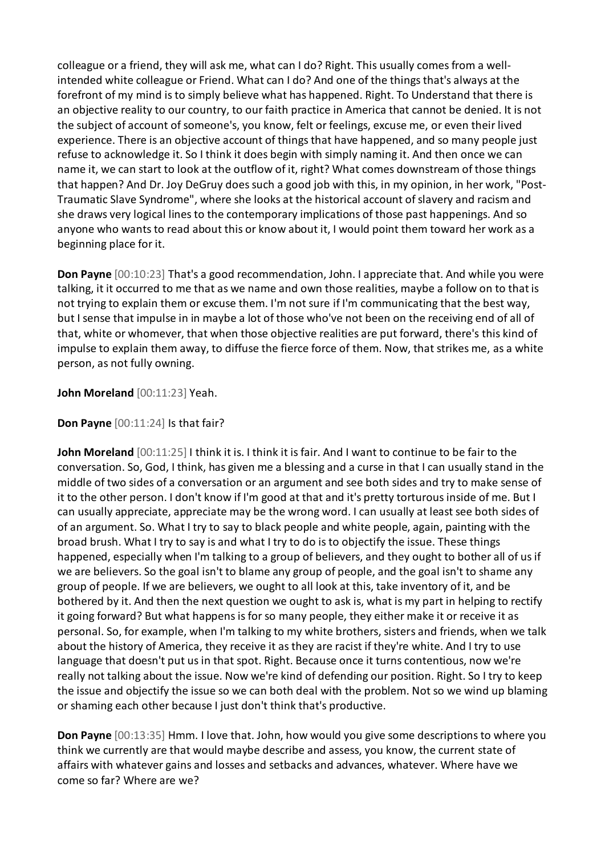colleague or a friend, they will ask me, what can I do? Right. This usually comes from a wellintended white colleague or Friend. What can I do? And one of the things that's always at the forefront of my mind is to simply believe what has happened. Right. To Understand that there is an objective reality to our country, to our faith practice in America that cannot be denied. It is not the subject of account of someone's, you know, felt or feelings, excuse me, or even their lived experience. There is an objective account of things that have happened, and so many people just refuse to acknowledge it. So I think it does begin with simply naming it. And then once we can name it, we can start to look at the outflow of it, right? What comes downstream of those things that happen? And Dr. Joy DeGruy does such a good job with this, in my opinion, in her work, "Post-Traumatic Slave Syndrome", where she looks at the historical account of slavery and racism and she draws very logical lines to the contemporary implications of those past happenings. And so anyone who wants to read about this or know about it, I would point them toward her work as a beginning place for it.

**Don Payne** [00:10:23] That's a good recommendation, John. I appreciate that. And while you were talking, it it occurred to me that as we name and own those realities, maybe a follow on to that is not trying to explain them or excuse them. I'm not sure if I'm communicating that the best way, but I sense that impulse in in maybe a lot of those who've not been on the receiving end of all of that, white or whomever, that when those objective realities are put forward, there's this kind of impulse to explain them away, to diffuse the fierce force of them. Now, that strikes me, as a white person, as not fully owning.

**John Moreland** [00:11:23] Yeah.

**Don Payne** [00:11:24] Is that fair?

**John Moreland** [00:11:25] I think it is. I think it is fair. And I want to continue to be fair to the conversation. So, God, I think, has given me a blessing and a curse in that I can usually stand in the middle of two sides of a conversation or an argument and see both sides and try to make sense of it to the other person. I don't know if I'm good at that and it's pretty torturous inside of me. But I can usually appreciate, appreciate may be the wrong word. I can usually at least see both sides of of an argument. So. What I try to say to black people and white people, again, painting with the broad brush. What I try to say is and what I try to do is to objectify the issue. These things happened, especially when I'm talking to a group of believers, and they ought to bother all of us if we are believers. So the goal isn't to blame any group of people, and the goal isn't to shame any group of people. If we are believers, we ought to all look at this, take inventory of it, and be bothered by it. And then the next question we ought to ask is, what is my part in helping to rectify it going forward? But what happens is for so many people, they either make it or receive it as personal. So, for example, when I'm talking to my white brothers, sisters and friends, when we talk about the history of America, they receive it as they are racist if they're white. And I try to use language that doesn't put us in that spot. Right. Because once it turns contentious, now we're really not talking about the issue. Now we're kind of defending our position. Right. So I try to keep the issue and objectify the issue so we can both deal with the problem. Not so we wind up blaming or shaming each other because I just don't think that's productive.

**Don Payne** [00:13:35] Hmm. I love that. John, how would you give some descriptions to where you think we currently are that would maybe describe and assess, you know, the current state of affairs with whatever gains and losses and setbacks and advances, whatever. Where have we come so far? Where are we?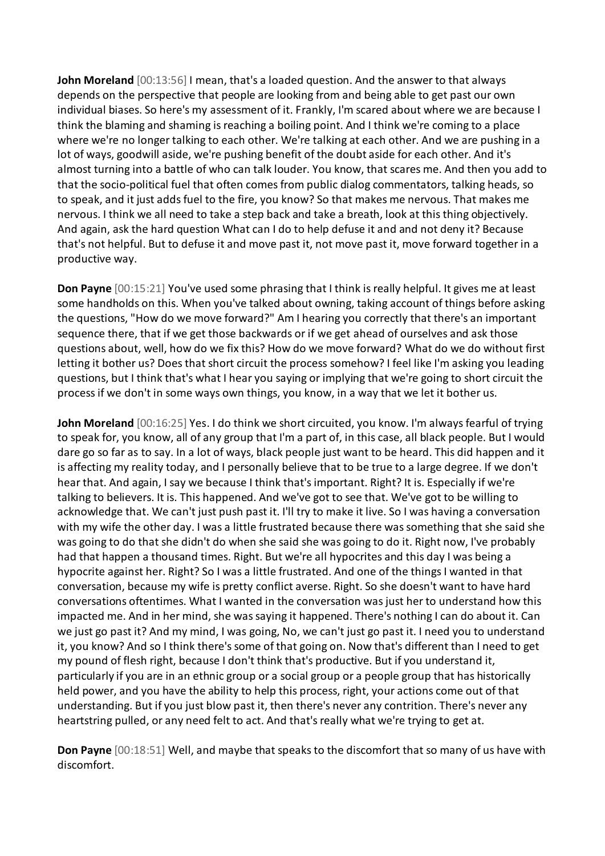**John Moreland** [00:13:56] I mean, that's a loaded question. And the answer to that always depends on the perspective that people are looking from and being able to get past our own individual biases. So here's my assessment of it. Frankly, I'm scared about where we are because I think the blaming and shaming is reaching a boiling point. And I think we're coming to a place where we're no longer talking to each other. We're talking at each other. And we are pushing in a lot of ways, goodwill aside, we're pushing benefit of the doubt aside for each other. And it's almost turning into a battle of who can talk louder. You know, that scares me. And then you add to that the socio-political fuel that often comes from public dialog commentators, talking heads, so to speak, and it just adds fuel to the fire, you know? So that makes me nervous. That makes me nervous. I think we all need to take a step back and take a breath, look at this thing objectively. And again, ask the hard question What can I do to help defuse it and and not deny it? Because that's not helpful. But to defuse it and move past it, not move past it, move forward together in a productive way.

**Don Payne** [00:15:21] You've used some phrasing that I think is really helpful. It gives me at least some handholds on this. When you've talked about owning, taking account of things before asking the questions, "How do we move forward?" Am I hearing you correctly that there's an important sequence there, that if we get those backwards or if we get ahead of ourselves and ask those questions about, well, how do we fix this? How do we move forward? What do we do without first letting it bother us? Does that short circuit the process somehow? I feel like I'm asking you leading questions, but I think that's what I hear you saying or implying that we're going to short circuit the process if we don't in some ways own things, you know, in a way that we let it bother us.

**John Moreland** [00:16:25] Yes. I do think we short circuited, you know. I'm always fearful of trying to speak for, you know, all of any group that I'm a part of, in this case, all black people. But I would dare go so far as to say. In a lot of ways, black people just want to be heard. This did happen and it is affecting my reality today, and I personally believe that to be true to a large degree. If we don't hear that. And again, I say we because I think that's important. Right? It is. Especially if we're talking to believers. It is. This happened. And we've got to see that. We've got to be willing to acknowledge that. We can't just push past it. I'll try to make it live. So I was having a conversation with my wife the other day. I was a little frustrated because there was something that she said she was going to do that she didn't do when she said she was going to do it. Right now, I've probably had that happen a thousand times. Right. But we're all hypocrites and this day I was being a hypocrite against her. Right? So I was a little frustrated. And one of the things I wanted in that conversation, because my wife is pretty conflict averse. Right. So she doesn't want to have hard conversations oftentimes. What I wanted in the conversation was just her to understand how this impacted me. And in her mind, she was saying it happened. There's nothing I can do about it. Can we just go past it? And my mind, I was going, No, we can't just go past it. I need you to understand it, you know? And so I think there's some of that going on. Now that's different than I need to get my pound of flesh right, because I don't think that's productive. But if you understand it, particularly if you are in an ethnic group or a social group or a people group that has historically held power, and you have the ability to help this process, right, your actions come out of that understanding. But if you just blow past it, then there's never any contrition. There's never any heartstring pulled, or any need felt to act. And that's really what we're trying to get at.

**Don Payne** [00:18:51] Well, and maybe that speaks to the discomfort that so many of us have with discomfort.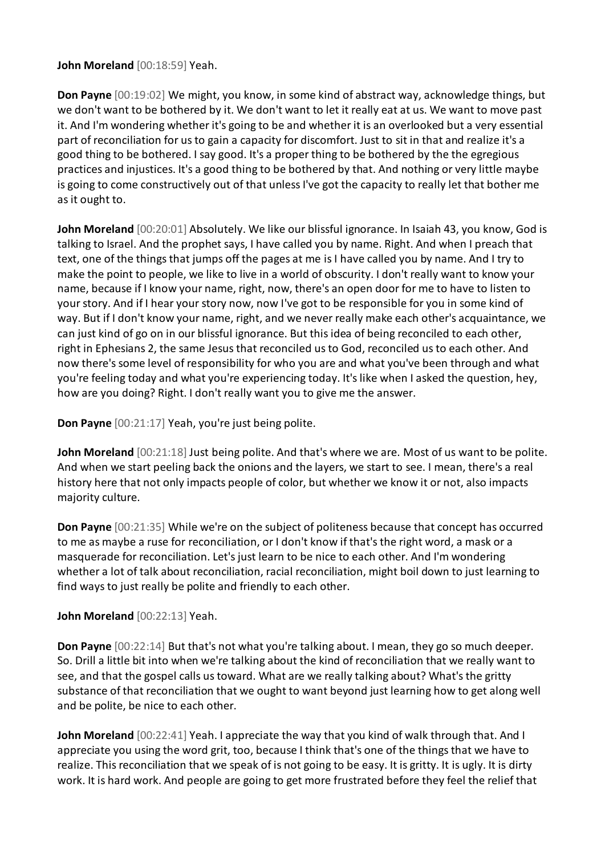**John Moreland** [00:18:59] Yeah.

**Don Payne** [00:19:02] We might, you know, in some kind of abstract way, acknowledge things, but we don't want to be bothered by it. We don't want to let it really eat at us. We want to move past it. And I'm wondering whether it's going to be and whether it is an overlooked but a very essential part of reconciliation for us to gain a capacity for discomfort. Just to sit in that and realize it's a good thing to be bothered. I say good. It's a proper thing to be bothered by the the egregious practices and injustices. It's a good thing to be bothered by that. And nothing or very little maybe is going to come constructively out of that unless I've got the capacity to really let that bother me as it ought to.

**John Moreland** [00:20:01] Absolutely. We like our blissful ignorance. In Isaiah 43, you know, God is talking to Israel. And the prophet says, I have called you by name. Right. And when I preach that text, one of the things that jumps off the pages at me is I have called you by name. And I try to make the point to people, we like to live in a world of obscurity. I don't really want to know your name, because if I know your name, right, now, there's an open door for me to have to listen to your story. And if I hear your story now, now I've got to be responsible for you in some kind of way. But if I don't know your name, right, and we never really make each other's acquaintance, we can just kind of go on in our blissful ignorance. But this idea of being reconciled to each other, right in Ephesians 2, the same Jesus that reconciled us to God, reconciled us to each other. And now there's some level of responsibility for who you are and what you've been through and what you're feeling today and what you're experiencing today. It's like when I asked the question, hey, how are you doing? Right. I don't really want you to give me the answer.

**Don Payne** [00:21:17] Yeah, you're just being polite.

**John Moreland** [00:21:18] Just being polite. And that's where we are. Most of us want to be polite. And when we start peeling back the onions and the layers, we start to see. I mean, there's a real history here that not only impacts people of color, but whether we know it or not, also impacts majority culture.

**Don Payne** [00:21:35] While we're on the subject of politeness because that concept has occurred to me as maybe a ruse for reconciliation, or I don't know if that's the right word, a mask or a masquerade for reconciliation. Let's just learn to be nice to each other. And I'm wondering whether a lot of talk about reconciliation, racial reconciliation, might boil down to just learning to find ways to just really be polite and friendly to each other.

## **John Moreland** [00:22:13] Yeah.

**Don Payne** [00:22:14] But that's not what you're talking about. I mean, they go so much deeper. So. Drill a little bit into when we're talking about the kind of reconciliation that we really want to see, and that the gospel calls us toward. What are we really talking about? What's the gritty substance of that reconciliation that we ought to want beyond just learning how to get along well and be polite, be nice to each other.

**John Moreland** [00:22:41] Yeah. I appreciate the way that you kind of walk through that. And I appreciate you using the word grit, too, because I think that's one of the things that we have to realize. This reconciliation that we speak of is not going to be easy. It is gritty. It is ugly. It is dirty work. It is hard work. And people are going to get more frustrated before they feel the relief that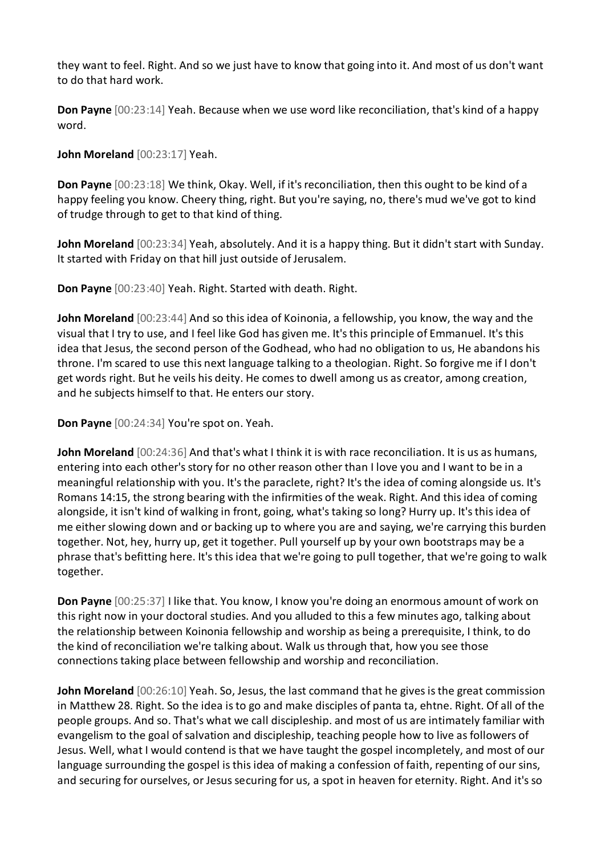they want to feel. Right. And so we just have to know that going into it. And most of us don't want to do that hard work.

**Don Payne** [00:23:14] Yeah. Because when we use word like reconciliation, that's kind of a happy word.

**John Moreland** [00:23:17] Yeah.

**Don Payne** [00:23:18] We think, Okay. Well, if it's reconciliation, then this ought to be kind of a happy feeling you know. Cheery thing, right. But you're saying, no, there's mud we've got to kind of trudge through to get to that kind of thing.

**John Moreland** [00:23:34] Yeah, absolutely. And it is a happy thing. But it didn't start with Sunday. It started with Friday on that hill just outside of Jerusalem.

**Don Payne** [00:23:40] Yeah. Right. Started with death. Right.

**John Moreland** [00:23:44] And so this idea of Koinonia, a fellowship, you know, the way and the visual that I try to use, and I feel like God has given me. It's this principle of Emmanuel. It's this idea that Jesus, the second person of the Godhead, who had no obligation to us, He abandons his throne. I'm scared to use this next language talking to a theologian. Right. So forgive me if I don't get words right. But he veils his deity. He comes to dwell among us as creator, among creation, and he subjects himself to that. He enters our story.

**Don Payne** [00:24:34] You're spot on. Yeah.

**John Moreland** [00:24:36] And that's what I think it is with race reconciliation. It is us as humans, entering into each other's story for no other reason other than I love you and I want to be in a meaningful relationship with you. It's the paraclete, right? It's the idea of coming alongside us. It's Romans 14:15, the strong bearing with the infirmities of the weak. Right. And this idea of coming alongside, it isn't kind of walking in front, going, what's taking so long? Hurry up. It's this idea of me either slowing down and or backing up to where you are and saying, we're carrying this burden together. Not, hey, hurry up, get it together. Pull yourself up by your own bootstraps may be a phrase that's befitting here. It's this idea that we're going to pull together, that we're going to walk together.

**Don Payne** [00:25:37] I like that. You know, I know you're doing an enormous amount of work on this right now in your doctoral studies. And you alluded to this a few minutes ago, talking about the relationship between Koinonia fellowship and worship as being a prerequisite, I think, to do the kind of reconciliation we're talking about. Walk us through that, how you see those connections taking place between fellowship and worship and reconciliation.

**John Moreland** [00:26:10] Yeah. So, Jesus, the last command that he gives is the great commission in Matthew 28. Right. So the idea is to go and make disciples of panta ta, ehtne. Right. Of all of the people groups. And so. That's what we call discipleship. and most of us are intimately familiar with evangelism to the goal of salvation and discipleship, teaching people how to live as followers of Jesus. Well, what I would contend is that we have taught the gospel incompletely, and most of our language surrounding the gospel is this idea of making a confession of faith, repenting of our sins, and securing for ourselves, or Jesus securing for us, a spot in heaven for eternity. Right. And it's so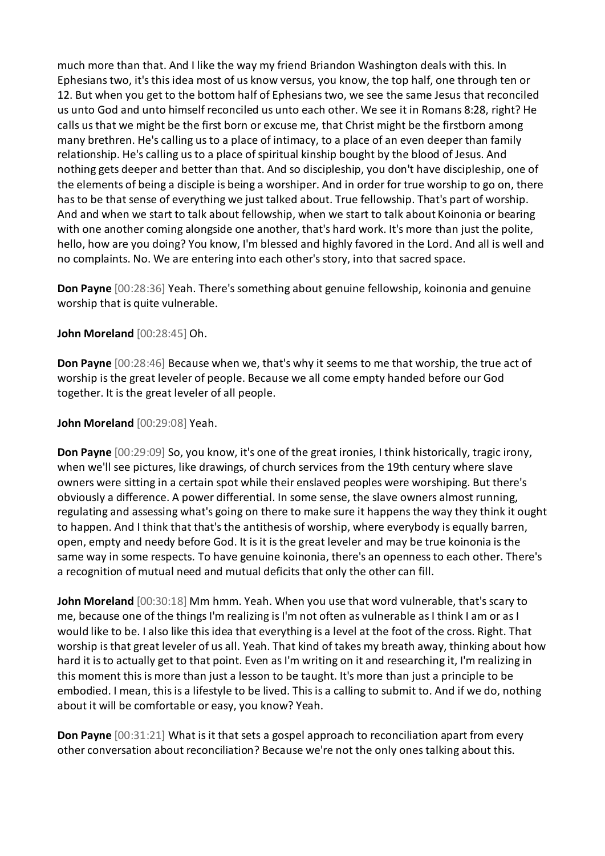much more than that. And I like the way my friend Briandon Washington deals with this. In Ephesians two, it's this idea most of us know versus, you know, the top half, one through ten or 12. But when you get to the bottom half of Ephesians two, we see the same Jesus that reconciled us unto God and unto himself reconciled us unto each other. We see it in Romans 8:28, right? He calls us that we might be the first born or excuse me, that Christ might be the firstborn among many brethren. He's calling us to a place of intimacy, to a place of an even deeper than family relationship. He's calling us to a place of spiritual kinship bought by the blood of Jesus. And nothing gets deeper and better than that. And so discipleship, you don't have discipleship, one of the elements of being a disciple is being a worshiper. And in order for true worship to go on, there has to be that sense of everything we just talked about. True fellowship. That's part of worship. And and when we start to talk about fellowship, when we start to talk about Koinonia or bearing with one another coming alongside one another, that's hard work. It's more than just the polite, hello, how are you doing? You know, I'm blessed and highly favored in the Lord. And all is well and no complaints. No. We are entering into each other's story, into that sacred space.

**Don Payne** [00:28:36] Yeah. There's something about genuine fellowship, koinonia and genuine worship that is quite vulnerable.

## **John Moreland** [00:28:45] Oh.

**Don Payne** [00:28:46] Because when we, that's why it seems to me that worship, the true act of worship is the great leveler of people. Because we all come empty handed before our God together. It is the great leveler of all people.

## **John Moreland** [00:29:08] Yeah.

**Don Payne** [00:29:09] So, you know, it's one of the great ironies, I think historically, tragic irony, when we'll see pictures, like drawings, of church services from the 19th century where slave owners were sitting in a certain spot while their enslaved peoples were worshiping. But there's obviously a difference. A power differential. In some sense, the slave owners almost running, regulating and assessing what's going on there to make sure it happens the way they think it ought to happen. And I think that that's the antithesis of worship, where everybody is equally barren, open, empty and needy before God. It is it is the great leveler and may be true koinonia is the same way in some respects. To have genuine koinonia, there's an openness to each other. There's a recognition of mutual need and mutual deficits that only the other can fill.

**John Moreland** [00:30:18] Mm hmm. Yeah. When you use that word vulnerable, that's scary to me, because one of the things I'm realizing is I'm not often as vulnerable as I think I am or as I would like to be. I also like this idea that everything is a level at the foot of the cross. Right. That worship is that great leveler of us all. Yeah. That kind of takes my breath away, thinking about how hard it is to actually get to that point. Even as I'm writing on it and researching it, I'm realizing in this moment this is more than just a lesson to be taught. It's more than just a principle to be embodied. I mean, this is a lifestyle to be lived. This is a calling to submit to. And if we do, nothing about it will be comfortable or easy, you know? Yeah.

**Don Payne** [00:31:21] What is it that sets a gospel approach to reconciliation apart from every other conversation about reconciliation? Because we're not the only ones talking about this.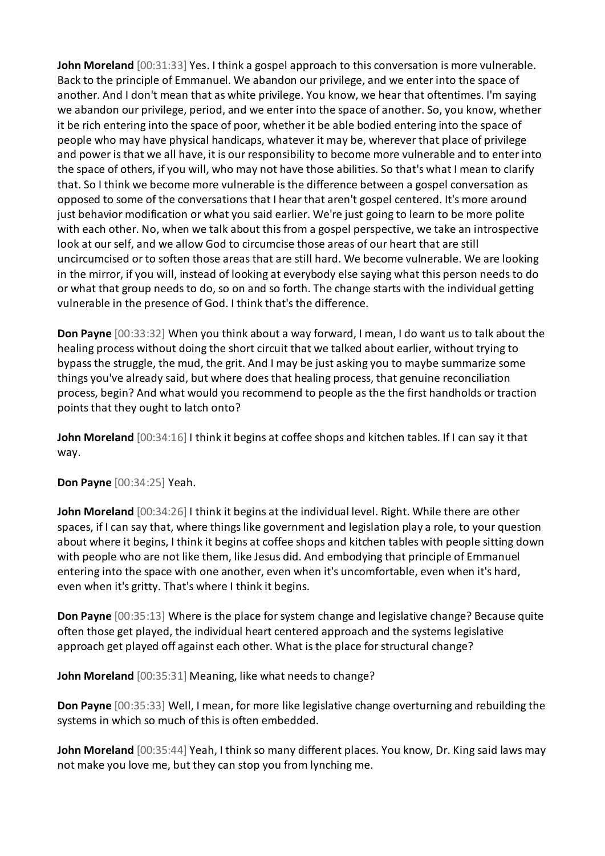**John Moreland** [00:31:33] Yes. I think a gospel approach to this conversation is more vulnerable. Back to the principle of Emmanuel. We abandon our privilege, and we enter into the space of another. And I don't mean that as white privilege. You know, we hear that oftentimes. I'm saying we abandon our privilege, period, and we enter into the space of another. So, you know, whether it be rich entering into the space of poor, whether it be able bodied entering into the space of people who may have physical handicaps, whatever it may be, wherever that place of privilege and power is that we all have, it is our responsibility to become more vulnerable and to enter into the space of others, if you will, who may not have those abilities. So that's what I mean to clarify that. So I think we become more vulnerable is the difference between a gospel conversation as opposed to some of the conversations that I hear that aren't gospel centered. It's more around just behavior modification or what you said earlier. We're just going to learn to be more polite with each other. No, when we talk about this from a gospel perspective, we take an introspective look at our self, and we allow God to circumcise those areas of our heart that are still uncircumcised or to soften those areas that are still hard. We become vulnerable. We are looking in the mirror, if you will, instead of looking at everybody else saying what this person needs to do or what that group needs to do, so on and so forth. The change starts with the individual getting vulnerable in the presence of God. I think that's the difference.

**Don Payne** [00:33:32] When you think about a way forward, I mean, I do want us to talk about the healing process without doing the short circuit that we talked about earlier, without trying to bypass the struggle, the mud, the grit. And I may be just asking you to maybe summarize some things you've already said, but where does that healing process, that genuine reconciliation process, begin? And what would you recommend to people as the the first handholds or traction points that they ought to latch onto?

**John Moreland** [00:34:16] I think it begins at coffee shops and kitchen tables. If I can say it that way.

**Don Payne** [00:34:25] Yeah.

**John Moreland** [00:34:26] I think it begins at the individual level. Right. While there are other spaces, if I can say that, where things like government and legislation play a role, to your question about where it begins, I think it begins at coffee shops and kitchen tables with people sitting down with people who are not like them, like Jesus did. And embodying that principle of Emmanuel entering into the space with one another, even when it's uncomfortable, even when it's hard, even when it's gritty. That's where I think it begins.

**Don Payne** [00:35:13] Where is the place for system change and legislative change? Because quite often those get played, the individual heart centered approach and the systems legislative approach get played off against each other. What is the place for structural change?

**John Moreland** [00:35:31] Meaning, like what needs to change?

**Don Payne** [00:35:33] Well, I mean, for more like legislative change overturning and rebuilding the systems in which so much of this is often embedded.

**John Moreland** [00:35:44] Yeah, I think so many different places. You know, Dr. King said laws may not make you love me, but they can stop you from lynching me.